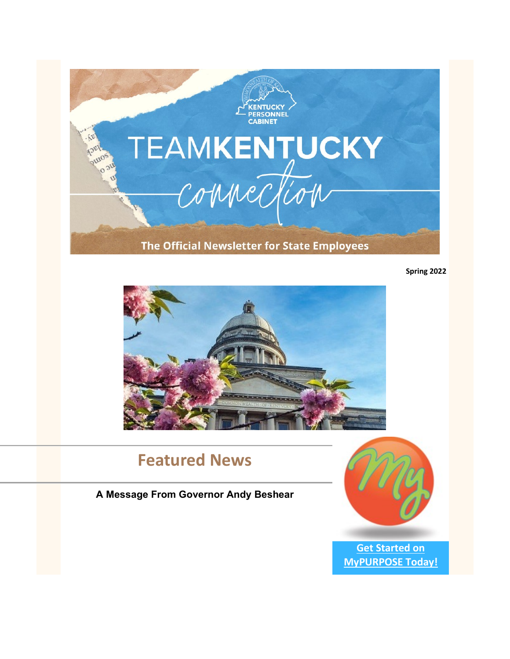

**Spring 2022**



# **Featured News**

# **A Message From Governor Andy Beshear**



**[Get Started on](https://mypurpose.ky.gov/)  [MyPURPOSE Today!](https://mypurpose.ky.gov/)**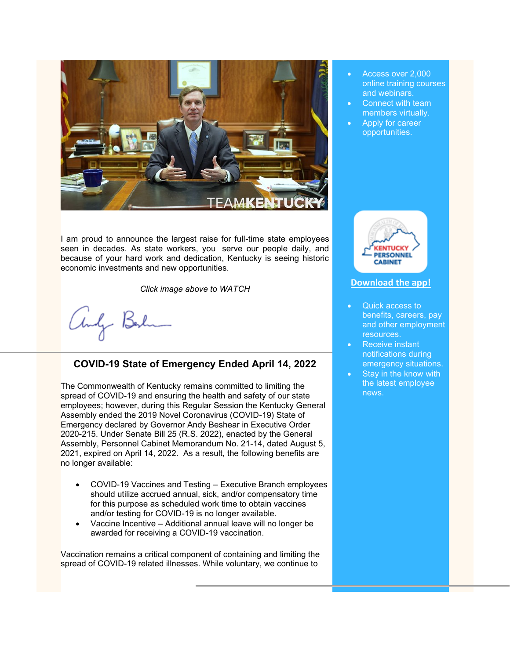

I am proud to announce the largest raise for full-time state employees seen in decades. As state workers, you serve our people daily, and because of your hard work and dedication, Kentucky is seeing historic economic investments and new opportunities.

*Click image above to WATCH*

andy Berlin

# **COVID-19 State of Emergency Ended April 14, 2022**

The Commonwealth of Kentucky remains committed to limiting the spread of COVID-19 and ensuring the health and safety of our state employees; however, during this Regular Session the Kentucky General Assembly ended the 2019 Novel Coronavirus (COVID-19) State of Emergency declared by Governor Andy Beshear in Executive Order 2020-215. Under Senate Bill 25 (R.S. 2022), enacted by the General Assembly, Personnel Cabinet Memorandum No. 21-14, dated August 5, 2021, expired on April 14, 2022. As a result, the following benefits are no longer available:

- COVID-19 Vaccines and Testing Executive Branch employees should utilize accrued annual, sick, and/or compensatory time for this purpose as scheduled work time to obtain vaccines and/or testing for COVID-19 is no longer available.
- Vaccine Incentive Additional annual leave will no longer be awarded for receiving a COVID-19 vaccination.

Vaccination remains a critical component of containing and limiting the spread of COVID-19 related illnesses. While voluntary, we continue to

- Access over 2,000 online training courses and webinars.
- Connect with team members virtually.
- Apply for career opportunities.



#### **[Download the app!](https://youtu.be/HJ3xwpwmDf4)**

- Quick access to benefits, careers, pay and other employment resources.
- Receive instant notifications during emergency situations.
- Stay in the know with the latest employee news.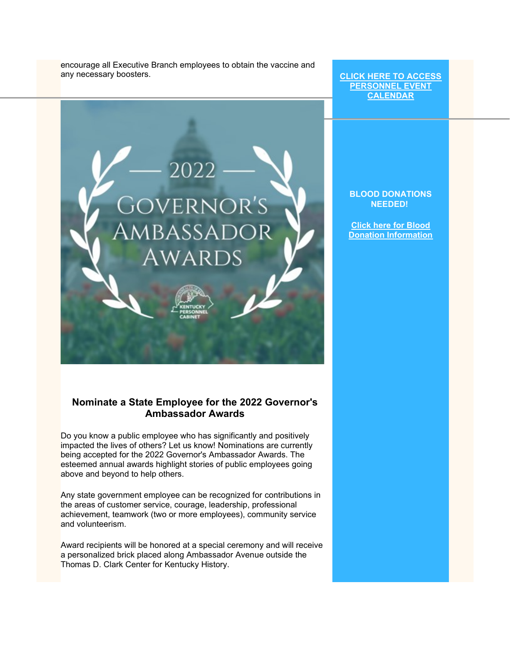encourage all Executive Branch employees to obtain the vaccine and any necessary boosters.

**[CLICK HERE TO ACCESS](https://personnel.ky.gov/Pages/employeeevents.aspx)  [PERSONNEL EVENT](https://personnel.ky.gov/Pages/employeeevents.aspx)  [CALENDAR](https://personnel.ky.gov/Pages/employeeevents.aspx)**

# 2022 **GOVERNOR'S** AMBASSADOR WARDS

**BLOOD DONATIONS NEEDED!**

**[Click here for Blood](https://personnel.ky.gov/Pages/Blood-Donation-Calendar-.aspx)  [Donation Information](https://personnel.ky.gov/Pages/Blood-Donation-Calendar-.aspx)**

#### **Nominate a State Employee for the 2022 Governor's Ambassador Awards**

Do you know a public employee who has significantly and positively impacted the lives of others? Let us know! Nominations are currently being accepted for the 2022 Governor's Ambassador Awards. The esteemed annual awards highlight stories of public employees going above and beyond to help others.

Any state government employee can be recognized for contributions in the areas of customer service, courage, leadership, professional achievement, teamwork (two or more employees), community service and volunteerism.

Award recipients will be honored at a special ceremony and will receive a personalized brick placed along Ambassador Avenue outside the Thomas D. Clark Center for Kentucky History.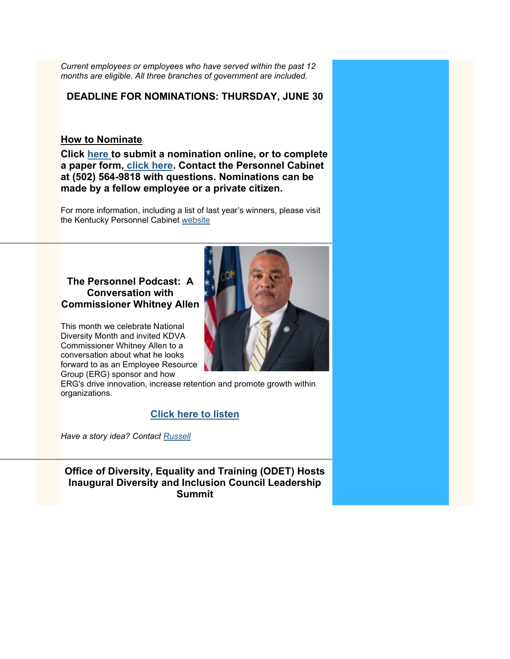*Current employees or employees who have served within the past 12 months are eligible. All three branches of government are included.*

#### **DEADLINE FOR NOMINATIONS: THURSDAY, JUNE 30**

#### **How to Nominate**

**Click [here](https://urldefense.com/v3/__https:/lnks.gd/l/eyJhbGciOiJIUzI1NiJ9.eyJidWxsZXRpbl9saW5rX2lkIjoxMDAsInVyaSI6ImJwMjpjbGljayIsImJ1bGxldGluX2lkIjoiMjAyMjAyMjguNTQxMDgyMjEiLCJ1cmwiOiJodHRwczovL3BlcnNvbm5lbC5reS5nb3YvX2xheW91dHMvMTUvR292ZXJub3JzQW1iYXNzYWRvckF3YXJkL0dBQUZvcm0uYXNweCJ9.RB-Prk1H0jBcWPSwF2BXM1fo-nilrgTuteX43fKJlc0/s/1114481822/br/127255015297-l__;!!Db6frn15oIvDD3UI!ycuTAYss0_tVAvQXX3aaCobL4QVnB6gDS_P5842CywXDI8LM12Zvjf-CgNF1cXtsjaDkHg%24) to submit a nomination online, or to complete a paper form, [click here.](https://urldefense.proofpoint.com/v2/url?u=http-3A__links.govdelivery.com-3A80_track-3Ftype-3Dclick-26enid-3DZWFzPTEmbWFpbGluZ2lkPTIwMTkwMjE1LjE3ODg4NzEmbWVzc2FnZWlkPU1EQi1QUkQtQlVMLTIwMTkwMjE1LjE3ODg4NzEmZGF0YWJhc2VpZD0xMDAxJnNlcmlhbD0xODA1Mzg3NCZlbWFpbGlkPW5pbGEubWVla3NAa3kuZ292JnVzZXJpZD1uaWxhLm1lZWtzQGt5LmdvdiZmbD0mZXh0cmE9TXVsdGl2YXJpYXRlSWQ9JiYm-26-26-26101-26-26-26https-3A__personnel.ky.gov_pages_rewards.aspx&d=DwMFaQ&c=jvUANN7rYqzaQJvTqI-69lgi41yDEZ3CXTgIEaHlx7c&r=gEmYdfEfDxMUosB8v7AZXbQa84r_56iAlaQi_fj_Ej0&m=jnnYQbMNDHbAnxu9VWmlFD0I2InuarZHRp6nc0VaG8o&s=DTq8qUzLegg6c3nH-mnQ-l4QL1uWub5hpWIwHbZcsuA&e=) Contact the Personnel Cabinet at (502) 564-9818 with questions. Nominations can be made by a fellow employee or a private citizen.**

For more information, including a list of last year's winners, please visit the Kentucky Personnel Cabinet [website](https://urldefense.proofpoint.com/v2/url?u=http-3A__links.govdelivery.com-3A80_track-3Ftype-3Dclick-26enid-3DZWFzPTEmbWFpbGluZ2lkPTIwMTkwMjE1LjE3ODg4NzEmbWVzc2FnZWlkPU1EQi1QUkQtQlVMLTIwMTkwMjE1LjE3ODg4NzEmZGF0YWJhc2VpZD0xMDAxJnNlcmlhbD0xODA1Mzg3NCZlbWFpbGlkPW5pbGEubWVla3NAa3kuZ292JnVzZXJpZD1uaWxhLm1lZWtzQGt5LmdvdiZmbD0mZXh0cmE9TXVsdGl2YXJpYXRlSWQ9JiYm-26-26-26102-26-26-26https-3A__personnel.ky.gov_pages_rewards.aspx&d=DwMFaQ&c=jvUANN7rYqzaQJvTqI-69lgi41yDEZ3CXTgIEaHlx7c&r=gEmYdfEfDxMUosB8v7AZXbQa84r_56iAlaQi_fj_Ej0&m=jnnYQbMNDHbAnxu9VWmlFD0I2InuarZHRp6nc0VaG8o&s=39Hb5_9kVQrDRAieRYjpXcXw_hkXspk53kprerBjHq8&e=)

#### **The Personnel Podcast: A Conversation with Commissioner Whitney Allen**

This month we celebrate National Diversity Month and invited KDVA Commissioner Whitney Allen to a conversation about what he looks forward to as an Employee Resource Group (ERG) sponsor and how



ERG's drive innovation, increase retention and promote growth within organizations.

#### **[Click here to listen](https://soundcloud.com/user-752302099/celebrating-diversity-month-a-conversation-with-kdva-commissioner?utm_source=clipboard&utm_medium=text&utm_campaign=social_sharing)**

*Have a story idea? Contact [Russell](mailto:russell.goodwin@ky.gov)*

**Office of Diversity, Equality and Training (ODET) Hosts Inaugural Diversity and Inclusion Council Leadership Summit**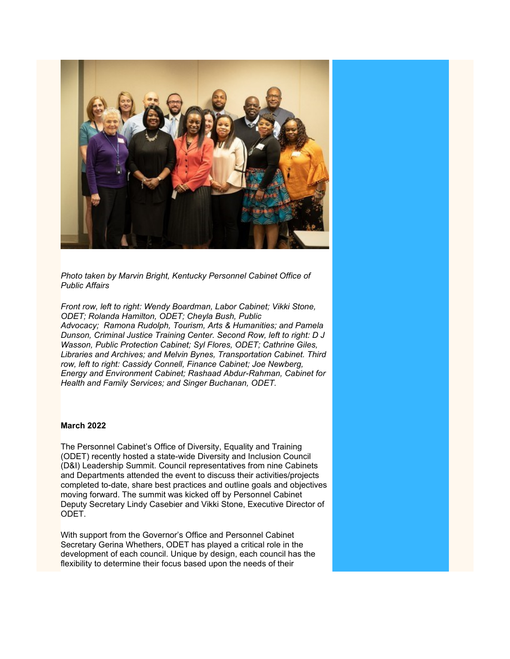

*Photo taken by Marvin Bright, Kentucky Personnel Cabinet Office of Public Affairs*

*Front row, left to right: Wendy Boardman, Labor Cabinet; Vikki Stone, ODET; Rolanda Hamilton, ODET; Cheyla Bush, Public Advocacy; Ramona Rudolph, Tourism, Arts & Humanities; and Pamela Dunson, Criminal Justice Training Center. Second Row, left to right: D J Wasson, Public Protection Cabinet; Syl Flores, ODET; Cathrine Giles, Libraries and Archives; and Melvin Bynes, Transportation Cabinet. Third row, left to right: Cassidy Connell, Finance Cabinet; Joe Newberg, Energy and Environment Cabinet; Rashaad Abdur-Rahman, Cabinet for Health and Family Services; and Singer Buchanan, ODET.*

#### **March 2022**

The Personnel Cabinet's Office of Diversity, Equality and Training (ODET) recently hosted a state-wide Diversity and Inclusion Council (D&I) Leadership Summit. Council representatives from nine Cabinets and Departments attended the event to discuss their activities/projects completed to-date, share best practices and outline goals and objectives moving forward. The summit was kicked off by Personnel Cabinet Deputy Secretary Lindy Casebier and Vikki Stone, Executive Director of ODET.

With support from the Governor's Office and Personnel Cabinet Secretary Gerina Whethers, ODET has played a critical role in the development of each council. Unique by design, each council has the flexibility to determine their focus based upon the needs of their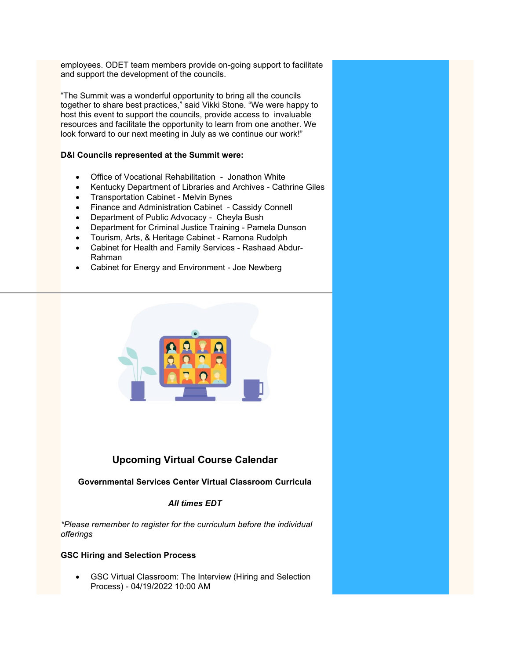employees. ODET team members provide on-going support to facilitate and support the development of the councils.

"The Summit was a wonderful opportunity to bring all the councils together to share best practices," said Vikki Stone. "We were happy to host this event to support the councils, provide access to invaluable resources and facilitate the opportunity to learn from one another. We look forward to our next meeting in July as we continue our work!"

#### **D&I Councils represented at the Summit were:**

- Office of Vocational Rehabilitation Jonathon White
- Kentucky Department of Libraries and Archives Cathrine Giles
- Transportation Cabinet Melvin Bynes
- Finance and Administration Cabinet Cassidy Connell
- Department of Public Advocacy Cheyla Bush
- Department for Criminal Justice Training Pamela Dunson
- Tourism, Arts, & Heritage Cabinet Ramona Rudolph
- Cabinet for Health and Family Services Rashaad Abdur-Rahman
- Cabinet for Energy and Environment Joe Newberg



## **Upcoming Virtual Course Calendar**

#### **Governmental Services Center Virtual Classroom Curricula**

#### *All times EDT*

*\*Please remember to register for the curriculum before the individual offerings*

#### **GSC Hiring and Selection Process**

• GSC Virtual Classroom: The Interview (Hiring and Selection Process) - 04/19/2022 10:00 AM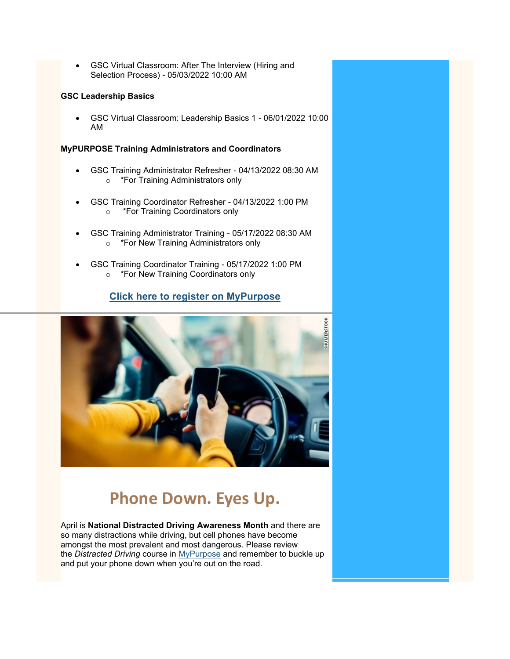• GSC Virtual Classroom: After The Interview (Hiring and Selection Process) - 05/03/2022 10:00 AM

#### **GSC Leadership Basics**

• GSC Virtual Classroom: Leadership Basics 1 - 06/01/2022 10:00 AM

#### **MyPURPOSE Training Administrators and Coordinators**

- GSC Training Administrator Refresher 04/13/2022 08:30 AM o \*For Training Administrators only
- GSC Training Coordinator Refresher 04/13/2022 1:00 PM o \*For Training Coordinators only
- GSC Training Administrator Training 05/17/2022 08:30 AM o \*For New Training Administrators only
- GSC Training Coordinator Training 05/17/2022 1:00 PM o \*For New Training Coordinators only

## **[Click here to register on MyPurpose](https://apps.personnel.ky.gov/SAPIdP/login.aspx?ReturnUrl=%2fSAPIdP%2fSAML%2fSSOService.aspx)**



# **Phone Down. Eyes Up.**

April is **National Distracted Driving Awareness Month** and there are so many distractions while driving, but cell phones have become amongst the most prevalent and most dangerous. Please review the *Distracted Driving* course in [MyPurpose](https://mypurpose.ky.gov/) and remember to buckle up and put your phone down when you're out on the road.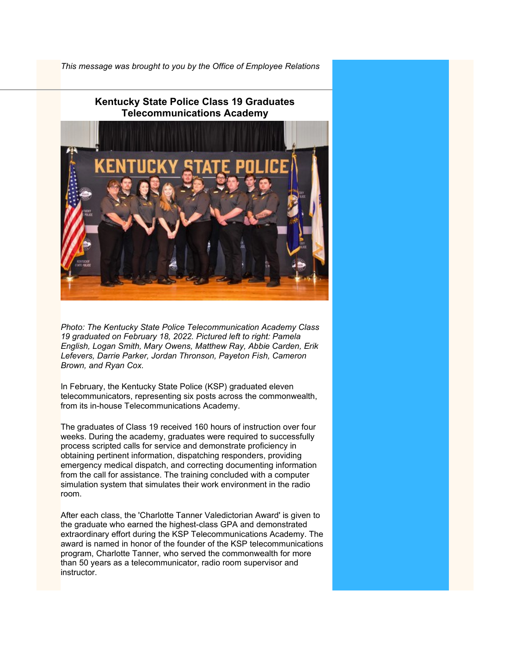*This message was brought to you by the Office of Employee Relations*



*Photo: The Kentucky State Police Telecommunication Academy Class 19 graduated on February 18, 2022. Pictured left to right: Pamela English, Logan Smith, Mary Owens, Matthew Ray, Abbie Carden, Erik Lefevers, Darrie Parker, Jordan Thronson, Payeton Fish, Cameron Brown, and Ryan Cox.*

In February, the Kentucky State Police (KSP) graduated eleven telecommunicators, representing six posts across the commonwealth, from its in-house Telecommunications Academy.

The graduates of Class 19 received 160 hours of instruction over four weeks. During the academy, graduates were required to successfully process scripted calls for service and demonstrate proficiency in obtaining pertinent information, dispatching responders, providing emergency medical dispatch, and correcting documenting information from the call for assistance. The training concluded with a computer simulation system that simulates their work environment in the radio room.

After each class, the 'Charlotte Tanner Valedictorian Award' is given to the graduate who earned the highest-class GPA and demonstrated extraordinary effort during the KSP Telecommunications Academy. The award is named in honor of the founder of the KSP telecommunications program, Charlotte Tanner, who served the commonwealth for more than 50 years as a telecommunicator, radio room supervisor and instructor.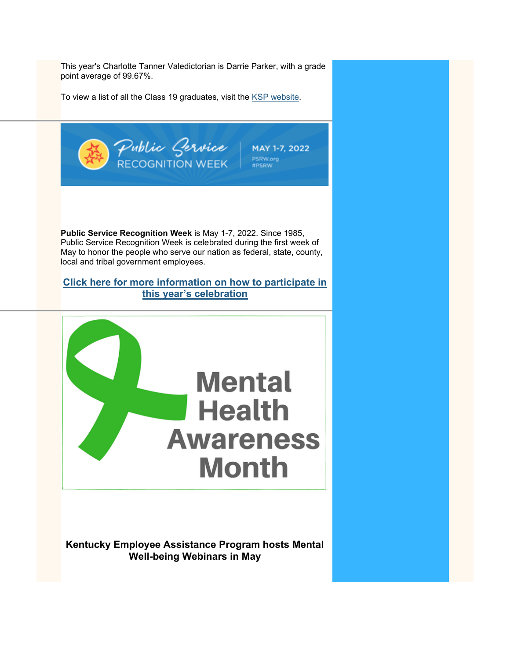This year's Charlotte Tanner Valedictorian is Darrie Parker, with a grade point average of 99.67%.

To view a list of all the Class 19 graduates, visit the [KSP website.](http://kentuckystatepolice.org/p12-2-18-2022/)



**Kentucky Employee Assistance Program hosts Mental Well-being Webinars in May**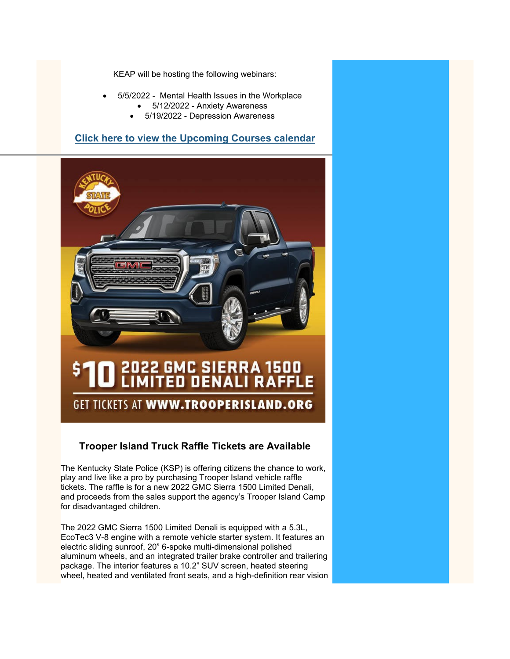#### KEAP will be hosting the following webinars:

- 5/5/2022 Mental Health Issues in the Workplace
	- 5/12/2022 Anxiety Awareness
	- 5/19/2022 Depression Awareness

#### **[Click here to view the Upcoming Courses calendar](https://personnel.ky.gov/Pages/CourseCalendar.aspx)**



# GET TICKETS AT WWW.TROOPERISLAND.ORG

### **Trooper Island Truck Raffle Tickets are Available**

The Kentucky State Police (KSP) is offering citizens the chance to work, play and live like a pro by purchasing Trooper Island vehicle raffle tickets. The raffle is for a new 2022 GMC Sierra 1500 Limited Denali, and proceeds from the sales support the agency's Trooper Island Camp for disadvantaged children.

The 2022 GMC Sierra 1500 Limited Denali is equipped with a 5.3L, EcoTec3 V-8 engine with a remote vehicle starter system. It features an electric sliding sunroof, 20" 6-spoke multi-dimensional polished aluminum wheels, and an integrated trailer brake controller and trailering package. The interior features a 10.2" SUV screen, heated steering wheel, heated and ventilated front seats, and a high-definition rear vision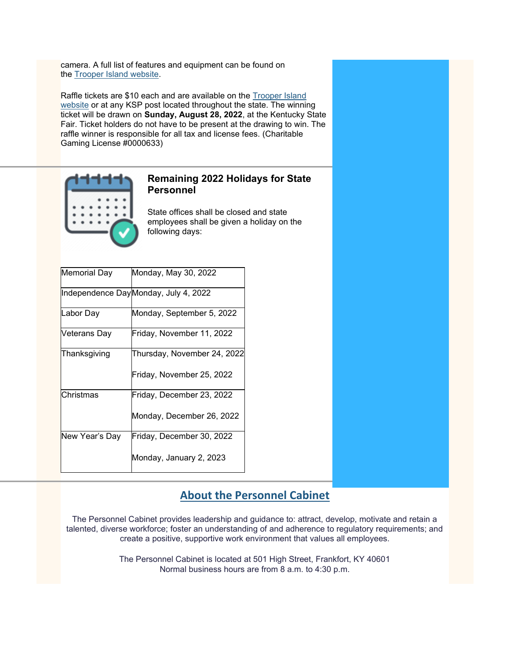camera. A full list of features and equipment can be found on the [Trooper Island website.](http://kentuckystatepolice.org/trooper-island/)

Raffle tickets are \$10 each and are available on the **Trooper Island** [website](http://kentuckystatepolice.org/trooper-island/) or at any KSP post located throughout the state. The winning ticket will be drawn on **Sunday, August 28, 2022**, at the Kentucky State Fair. Ticket holders do not have to be present at the drawing to win. The raffle winner is responsible for all tax and license fees. (Charitable Gaming License #0000633)



#### **Remaining 2022 Holidays for State Personnel**

State offices shall be closed and state employees shall be given a holiday on the following days:

| <b>Memorial Day</b> | Monday, May 30, 2022                 |
|---------------------|--------------------------------------|
|                     | Independence DayMonday, July 4, 2022 |
| Labor Day           | Monday, September 5, 2022            |
| Veterans Day        | Friday, November 11, 2022            |
| Thanksgiving        | Thursday, November 24, 2022          |
|                     | Friday, November 25, 2022            |
| Christmas           | Friday, December 23, 2022            |
|                     | Monday, December 26, 2022            |
| New Year's Day      | Friday, December 30, 2022            |
|                     | Monday, January 2, 2023              |

# **[About the Personnel Cabinet](https://personnel.ky.gov/pages/about-cabinet.aspx)**

The Personnel Cabinet provides leadership and guidance to: attract, develop, motivate and retain a talented, diverse workforce; foster an understanding of and adherence to regulatory requirements; and create a positive, supportive work environment that values all employees.

> The Personnel Cabinet is located at 501 High Street, Frankfort, KY 40601 Normal business hours are from 8 a.m. to 4:30 p.m.